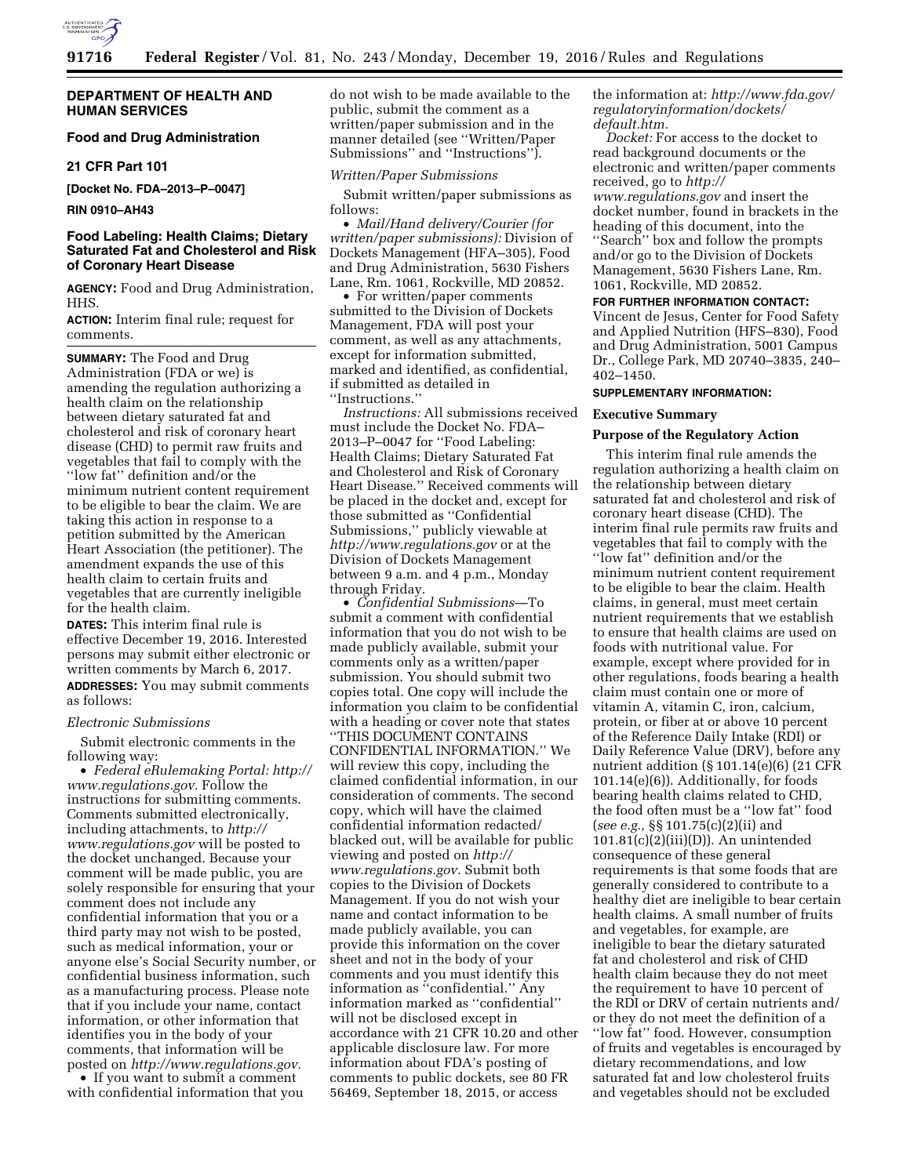

#### **DEPARTMENT OF HEALTH AND HUMAN SERVICES**

# **Food and Drug Administration**

#### **21 CFR Part 101**

**[Docket No. FDA–2013–P–0047]** 

#### **RIN 0910–AH43**

# **Food Labeling: Health Claims; Dietary Saturated Fat and Cholesterol and Risk of Coronary Heart Disease**

**AGENCY:** Food and Drug Administration, HHS.

**ACTION:** Interim final rule; request for comments.

**SUMMARY:** The Food and Drug Administration (FDA or we) is amending the regulation authorizing a health claim on the relationship between dietary saturated fat and cholesterol and risk of coronary heart disease (CHD) to permit raw fruits and vegetables that fail to comply with the ''low fat'' definition and/or the minimum nutrient content requirement to be eligible to bear the claim. We are taking this action in response to a petition submitted by the American Heart Association (the petitioner). The amendment expands the use of this health claim to certain fruits and vegetables that are currently ineligible for the health claim.

**DATES:** This interim final rule is effective December 19, 2016. Interested persons may submit either electronic or written comments by March 6, 2017. **ADDRESSES:** You may submit comments as follows:

#### *Electronic Submissions*

Submit electronic comments in the following way:

• *Federal eRulemaking Portal: [http://](http://www.regulations.gov)  [www.regulations.gov.](http://www.regulations.gov)* Follow the instructions for submitting comments. Comments submitted electronically, including attachments, to *[http://](http://www.regulations.gov) [www.regulations.gov](http://www.regulations.gov)* will be posted to the docket unchanged. Because your comment will be made public, you are solely responsible for ensuring that your comment does not include any confidential information that you or a third party may not wish to be posted, such as medical information, your or anyone else's Social Security number, or confidential business information, such as a manufacturing process. Please note that if you include your name, contact information, or other information that identifies you in the body of your comments, that information will be posted on *[http://www.regulations.gov.](http://www.regulations.gov)* 

• If you want to submit a comment with confidential information that you do not wish to be made available to the public, submit the comment as a written/paper submission and in the manner detailed (see ''Written/Paper Submissions'' and ''Instructions'').

#### *Written/Paper Submissions*

Submit written/paper submissions as follows:

• *Mail/Hand delivery/Courier (for written/paper submissions):* Division of Dockets Management (HFA–305), Food and Drug Administration, 5630 Fishers Lane, Rm. 1061, Rockville, MD 20852.

• For written/paper comments submitted to the Division of Dockets Management, FDA will post your comment, as well as any attachments, except for information submitted, marked and identified, as confidential, if submitted as detailed in ''Instructions.''

*Instructions:* All submissions received must include the Docket No. FDA– 2013–P–0047 for ''Food Labeling: Health Claims; Dietary Saturated Fat and Cholesterol and Risk of Coronary Heart Disease.'' Received comments will be placed in the docket and, except for those submitted as ''Confidential Submissions,'' publicly viewable at *<http://www.regulations.gov>* or at the Division of Dockets Management between 9 a.m. and 4 p.m., Monday through Friday.

• *Confidential Submissions*—To submit a comment with confidential information that you do not wish to be made publicly available, submit your comments only as a written/paper submission. You should submit two copies total. One copy will include the information you claim to be confidential with a heading or cover note that states ''THIS DOCUMENT CONTAINS

CONFIDENTIAL INFORMATION.'' We will review this copy, including the claimed confidential information, in our consideration of comments. The second copy, which will have the claimed confidential information redacted/ blacked out, will be available for public viewing and posted on *[http://](http://www.regulations.gov) [www.regulations.gov.](http://www.regulations.gov)* Submit both copies to the Division of Dockets Management. If you do not wish your name and contact information to be made publicly available, you can provide this information on the cover sheet and not in the body of your comments and you must identify this information as ''confidential.'' Any information marked as ''confidential'' will not be disclosed except in accordance with 21 CFR 10.20 and other applicable disclosure law. For more information about FDA's posting of comments to public dockets, see 80 FR 56469, September 18, 2015, or access

the information at: *[http://www.fda.gov/](http://www.fda.gov/regulatoryinformation/dockets/default.htm)  [regulatoryinformation/dockets/](http://www.fda.gov/regulatoryinformation/dockets/default.htm)  [default.htm.](http://www.fda.gov/regulatoryinformation/dockets/default.htm)* 

*Docket:* For access to the docket to read background documents or the electronic and written/paper comments received, go to *[http://](http://www.regulations.gov) [www.regulations.gov](http://www.regulations.gov)* and insert the docket number, found in brackets in the heading of this document, into the ''Search'' box and follow the prompts

and/or go to the Division of Dockets Management, 5630 Fishers Lane, Rm. 1061, Rockville, MD 20852.

# **FOR FURTHER INFORMATION CONTACT:**

Vincent de Jesus, Center for Food Safety and Applied Nutrition (HFS–830), Food and Drug Administration, 5001 Campus Dr., College Park, MD 20740–3835, 240– 402–1450.

#### **SUPPLEMENTARY INFORMATION:**

#### **Executive Summary**

#### **Purpose of the Regulatory Action**

This interim final rule amends the regulation authorizing a health claim on the relationship between dietary saturated fat and cholesterol and risk of coronary heart disease (CHD). The interim final rule permits raw fruits and vegetables that fail to comply with the ''low fat'' definition and/or the minimum nutrient content requirement to be eligible to bear the claim. Health claims, in general, must meet certain nutrient requirements that we establish to ensure that health claims are used on foods with nutritional value. For example, except where provided for in other regulations, foods bearing a health claim must contain one or more of vitamin A, vitamin C, iron, calcium, protein, or fiber at or above 10 percent of the Reference Daily Intake (RDI) or Daily Reference Value (DRV), before any nutrient addition (§ 101.14(e)(6) (21 CFR 101.14(e)(6)). Additionally, for foods bearing health claims related to CHD, the food often must be a ''low fat'' food (*see e.g.,* §§ 101.75(c)(2)(ii) and  $101.81(c)(2)(iii)(D)$ ). An unintended consequence of these general requirements is that some foods that are generally considered to contribute to a healthy diet are ineligible to bear certain health claims. A small number of fruits and vegetables, for example, are ineligible to bear the dietary saturated fat and cholesterol and risk of CHD health claim because they do not meet the requirement to have 10 percent of the RDI or DRV of certain nutrients and/ or they do not meet the definition of a ''low fat'' food. However, consumption of fruits and vegetables is encouraged by dietary recommendations, and low saturated fat and low cholesterol fruits and vegetables should not be excluded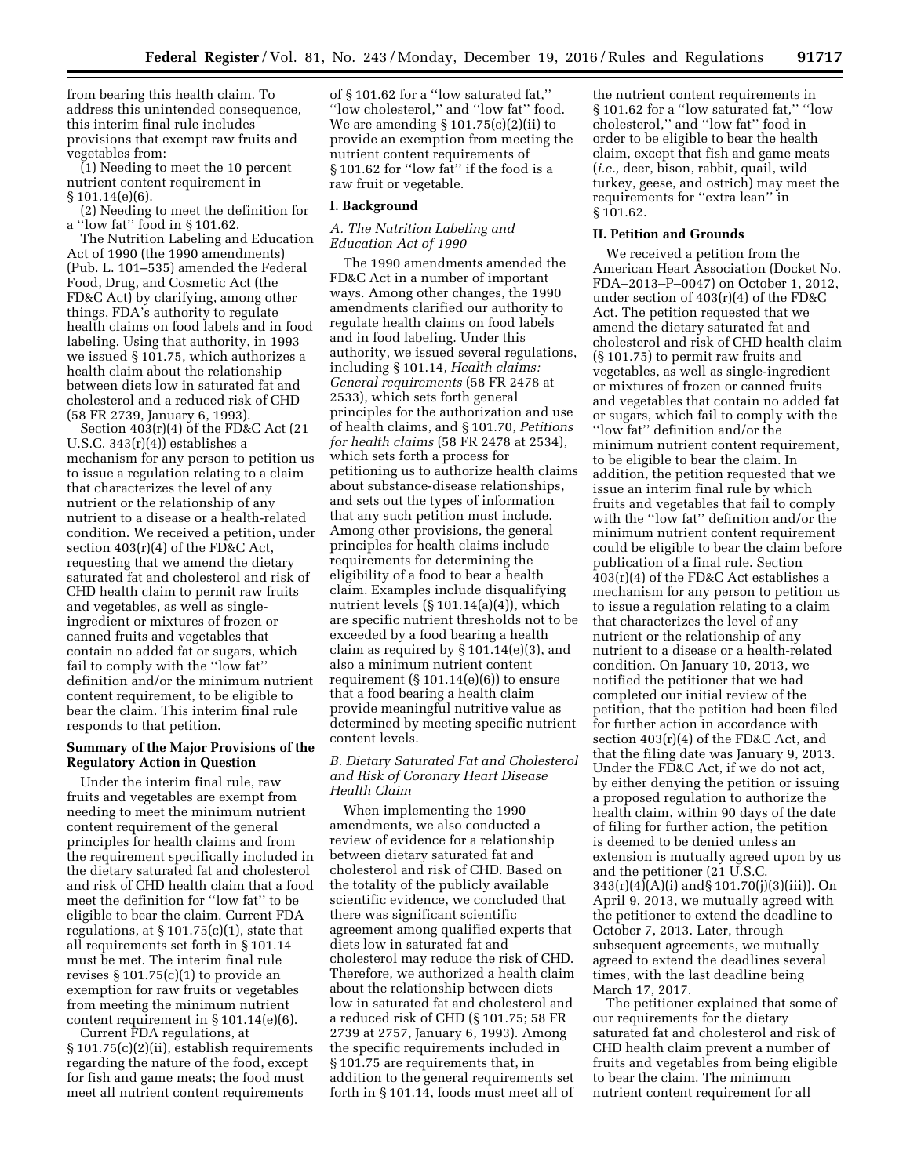from bearing this health claim. To address this unintended consequence, this interim final rule includes provisions that exempt raw fruits and vegetables from:

(1) Needing to meet the 10 percent nutrient content requirement in § 101.14(e)(6).

(2) Needing to meet the definition for a ''low fat'' food in § 101.62.

The Nutrition Labeling and Education Act of 1990 (the 1990 amendments) (Pub. L. 101–535) amended the Federal Food, Drug, and Cosmetic Act (the FD&C Act) by clarifying, among other things, FDA's authority to regulate health claims on food labels and in food labeling. Using that authority, in 1993 we issued § 101.75, which authorizes a health claim about the relationship between diets low in saturated fat and cholesterol and a reduced risk of CHD (58 FR 2739, January 6, 1993).

Section 403(r)(4) of the FD&C Act (21 U.S.C. 343(r)(4)) establishes a mechanism for any person to petition us to issue a regulation relating to a claim that characterizes the level of any nutrient or the relationship of any nutrient to a disease or a health-related condition. We received a petition, under section 403(r)(4) of the FD&C Act, requesting that we amend the dietary saturated fat and cholesterol and risk of CHD health claim to permit raw fruits and vegetables, as well as singleingredient or mixtures of frozen or canned fruits and vegetables that contain no added fat or sugars, which fail to comply with the ''low fat'' definition and/or the minimum nutrient content requirement, to be eligible to bear the claim. This interim final rule responds to that petition.

## **Summary of the Major Provisions of the Regulatory Action in Question**

Under the interim final rule, raw fruits and vegetables are exempt from needing to meet the minimum nutrient content requirement of the general principles for health claims and from the requirement specifically included in the dietary saturated fat and cholesterol and risk of CHD health claim that a food meet the definition for ''low fat'' to be eligible to bear the claim. Current FDA regulations, at § 101.75(c)(1), state that all requirements set forth in § 101.14 must be met. The interim final rule revises  $\S 101.75(c)(1)$  to provide an exemption for raw fruits or vegetables from meeting the minimum nutrient content requirement in § 101.14(e)(6).

Current FDA regulations, at § 101.75(c)(2)(ii), establish requirements regarding the nature of the food, except for fish and game meats; the food must meet all nutrient content requirements

of § 101.62 for a ''low saturated fat,'' ''low cholesterol,'' and ''low fat'' food. We are amending  $\S 101.75(c)(2)(ii)$  to provide an exemption from meeting the nutrient content requirements of § 101.62 for "low fat" if the food is a raw fruit or vegetable.

#### **I. Background**

# *A. The Nutrition Labeling and Education Act of 1990*

The 1990 amendments amended the FD&C Act in a number of important ways. Among other changes, the 1990 amendments clarified our authority to regulate health claims on food labels and in food labeling. Under this authority, we issued several regulations, including § 101.14, *Health claims: General requirements* (58 FR 2478 at 2533), which sets forth general principles for the authorization and use of health claims, and § 101.70, *Petitions for health claims* (58 FR 2478 at 2534), which sets forth a process for petitioning us to authorize health claims about substance-disease relationships, and sets out the types of information that any such petition must include. Among other provisions, the general principles for health claims include requirements for determining the eligibility of a food to bear a health claim. Examples include disqualifying nutrient levels (§ 101.14(a)(4)), which are specific nutrient thresholds not to be exceeded by a food bearing a health claim as required by § 101.14(e)(3), and also a minimum nutrient content requirement  $(\S 101.14(e)(6))$  to ensure that a food bearing a health claim provide meaningful nutritive value as determined by meeting specific nutrient content levels.

# *B. Dietary Saturated Fat and Cholesterol and Risk of Coronary Heart Disease Health Claim*

When implementing the 1990 amendments, we also conducted a review of evidence for a relationship between dietary saturated fat and cholesterol and risk of CHD. Based on the totality of the publicly available scientific evidence, we concluded that there was significant scientific agreement among qualified experts that diets low in saturated fat and cholesterol may reduce the risk of CHD. Therefore, we authorized a health claim about the relationship between diets low in saturated fat and cholesterol and a reduced risk of CHD (§ 101.75; 58 FR 2739 at 2757, January 6, 1993). Among the specific requirements included in § 101.75 are requirements that, in addition to the general requirements set forth in § 101.14, foods must meet all of

the nutrient content requirements in § 101.62 for a ''low saturated fat,'' ''low cholesterol,'' and ''low fat'' food in order to be eligible to bear the health claim, except that fish and game meats (*i.e.,* deer, bison, rabbit, quail, wild turkey, geese, and ostrich) may meet the requirements for ''extra lean'' in § 101.62.

# **II. Petition and Grounds**

We received a petition from the American Heart Association (Docket No. FDA–2013–P–0047) on October 1, 2012, under section of 403(r)(4) of the FD&C Act. The petition requested that we amend the dietary saturated fat and cholesterol and risk of CHD health claim (§ 101.75) to permit raw fruits and vegetables, as well as single-ingredient or mixtures of frozen or canned fruits and vegetables that contain no added fat or sugars, which fail to comply with the ''low fat'' definition and/or the minimum nutrient content requirement, to be eligible to bear the claim. In addition, the petition requested that we issue an interim final rule by which fruits and vegetables that fail to comply with the ''low fat'' definition and/or the minimum nutrient content requirement could be eligible to bear the claim before publication of a final rule. Section 403(r)(4) of the FD&C Act establishes a mechanism for any person to petition us to issue a regulation relating to a claim that characterizes the level of any nutrient or the relationship of any nutrient to a disease or a health-related condition. On January 10, 2013, we notified the petitioner that we had completed our initial review of the petition, that the petition had been filed for further action in accordance with section 403(r)(4) of the FD&C Act, and that the filing date was January 9, 2013. Under the FD&C Act, if we do not act, by either denying the petition or issuing a proposed regulation to authorize the health claim, within 90 days of the date of filing for further action, the petition is deemed to be denied unless an extension is mutually agreed upon by us and the petitioner (21 U.S.C. 343(r)(4)(A)(i) and§ 101.70(j)(3)(iii)). On April 9, 2013, we mutually agreed with the petitioner to extend the deadline to October 7, 2013. Later, through subsequent agreements, we mutually agreed to extend the deadlines several times, with the last deadline being March 17, 2017.

The petitioner explained that some of our requirements for the dietary saturated fat and cholesterol and risk of CHD health claim prevent a number of fruits and vegetables from being eligible to bear the claim. The minimum nutrient content requirement for all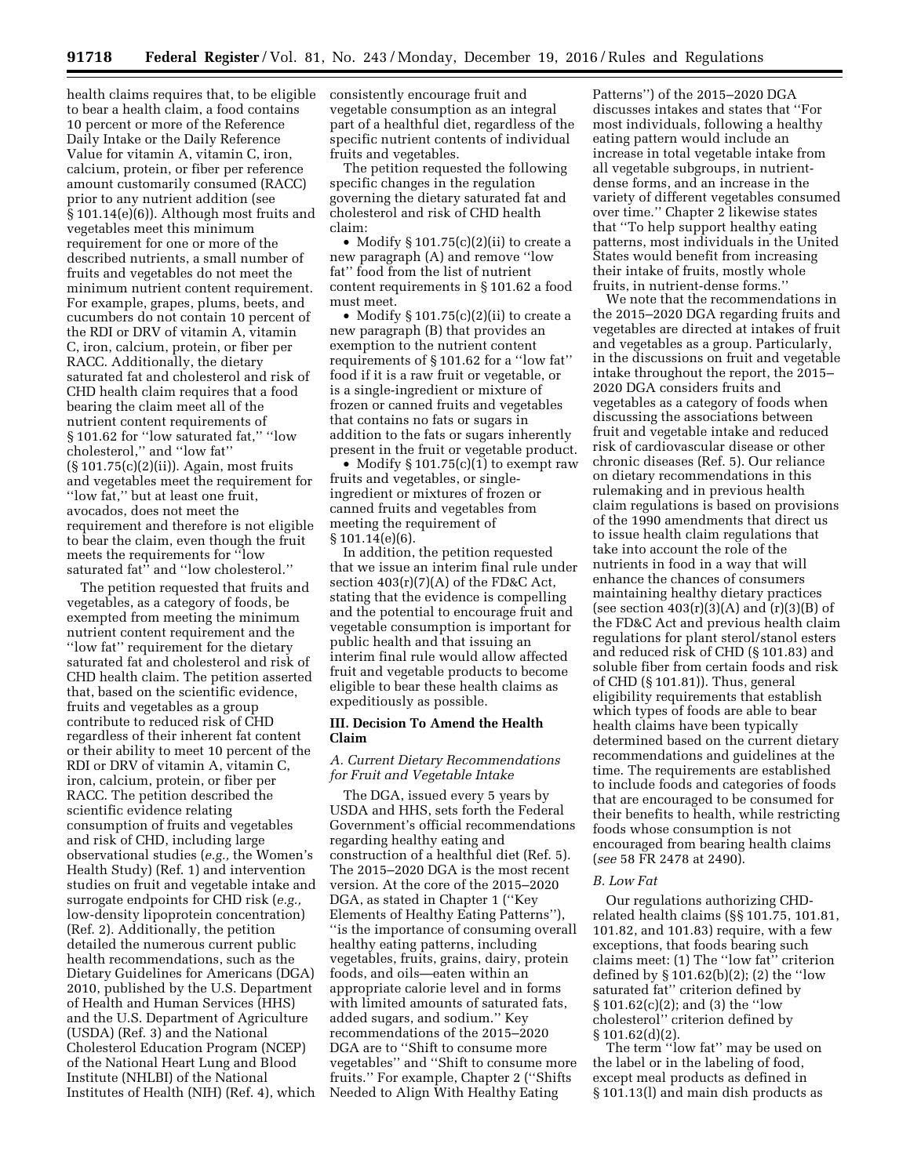health claims requires that, to be eligible to bear a health claim, a food contains 10 percent or more of the Reference Daily Intake or the Daily Reference Value for vitamin A, vitamin C, iron, calcium, protein, or fiber per reference amount customarily consumed (RACC) prior to any nutrient addition (see § 101.14(e)(6)). Although most fruits and vegetables meet this minimum requirement for one or more of the described nutrients, a small number of fruits and vegetables do not meet the minimum nutrient content requirement. For example, grapes, plums, beets, and cucumbers do not contain 10 percent of the RDI or DRV of vitamin A, vitamin C, iron, calcium, protein, or fiber per RACC. Additionally, the dietary saturated fat and cholesterol and risk of CHD health claim requires that a food bearing the claim meet all of the nutrient content requirements of § 101.62 for ''low saturated fat,'' ''low cholesterol,'' and ''low fat'' (§ 101.75(c)(2)(ii)). Again, most fruits and vegetables meet the requirement for ''low fat,'' but at least one fruit, avocados, does not meet the requirement and therefore is not eligible to bear the claim, even though the fruit meets the requirements for ''low saturated fat" and "low cholesterol."

The petition requested that fruits and vegetables, as a category of foods, be exempted from meeting the minimum nutrient content requirement and the ''low fat'' requirement for the dietary saturated fat and cholesterol and risk of CHD health claim. The petition asserted that, based on the scientific evidence, fruits and vegetables as a group contribute to reduced risk of CHD regardless of their inherent fat content or their ability to meet 10 percent of the RDI or DRV of vitamin A, vitamin C, iron, calcium, protein, or fiber per RACC. The petition described the scientific evidence relating consumption of fruits and vegetables and risk of CHD, including large observational studies (*e.g.,* the Women's Health Study) (Ref. 1) and intervention studies on fruit and vegetable intake and surrogate endpoints for CHD risk (*e.g.,*  low-density lipoprotein concentration) (Ref. 2). Additionally, the petition detailed the numerous current public health recommendations, such as the Dietary Guidelines for Americans (DGA) 2010, published by the U.S. Department of Health and Human Services (HHS) and the U.S. Department of Agriculture (USDA) (Ref. 3) and the National Cholesterol Education Program (NCEP) of the National Heart Lung and Blood Institute (NHLBI) of the National Institutes of Health (NIH) (Ref. 4), which

consistently encourage fruit and vegetable consumption as an integral part of a healthful diet, regardless of the specific nutrient contents of individual fruits and vegetables.

The petition requested the following specific changes in the regulation governing the dietary saturated fat and cholesterol and risk of CHD health claim:

• Modify § 101.75(c)(2)(ii) to create a new paragraph (A) and remove ''low fat'' food from the list of nutrient content requirements in § 101.62 a food must meet.

• Modify  $\S 101.75(c)(2)(ii)$  to create a new paragraph (B) that provides an exemption to the nutrient content requirements of § 101.62 for a ''low fat'' food if it is a raw fruit or vegetable, or is a single-ingredient or mixture of frozen or canned fruits and vegetables that contains no fats or sugars in addition to the fats or sugars inherently present in the fruit or vegetable product.

• Modify § 101.75(c)(1) to exempt raw fruits and vegetables, or singleingredient or mixtures of frozen or canned fruits and vegetables from meeting the requirement of § 101.14(e)(6).

In addition, the petition requested that we issue an interim final rule under section  $403(r)(7)(A)$  of the FD&C Act, stating that the evidence is compelling and the potential to encourage fruit and vegetable consumption is important for public health and that issuing an interim final rule would allow affected fruit and vegetable products to become eligible to bear these health claims as expeditiously as possible.

#### **III. Decision To Amend the Health Claim**

# *A. Current Dietary Recommendations for Fruit and Vegetable Intake*

The DGA, issued every 5 years by USDA and HHS, sets forth the Federal Government's official recommendations regarding healthy eating and construction of a healthful diet (Ref. 5). The 2015–2020 DGA is the most recent version. At the core of the 2015–2020 DGA, as stated in Chapter 1 (''Key Elements of Healthy Eating Patterns''), ''is the importance of consuming overall healthy eating patterns, including vegetables, fruits, grains, dairy, protein foods, and oils—eaten within an appropriate calorie level and in forms with limited amounts of saturated fats, added sugars, and sodium.'' Key recommendations of the 2015–2020 DGA are to ''Shift to consume more vegetables'' and ''Shift to consume more fruits.'' For example, Chapter 2 (''Shifts Needed to Align With Healthy Eating

Patterns'') of the 2015–2020 DGA discusses intakes and states that ''For most individuals, following a healthy eating pattern would include an increase in total vegetable intake from all vegetable subgroups, in nutrientdense forms, and an increase in the variety of different vegetables consumed over time.'' Chapter 2 likewise states that ''To help support healthy eating patterns, most individuals in the United States would benefit from increasing their intake of fruits, mostly whole fruits, in nutrient-dense forms.''

We note that the recommendations in the 2015–2020 DGA regarding fruits and vegetables are directed at intakes of fruit and vegetables as a group. Particularly, in the discussions on fruit and vegetable intake throughout the report, the 2015– 2020 DGA considers fruits and vegetables as a category of foods when discussing the associations between fruit and vegetable intake and reduced risk of cardiovascular disease or other chronic diseases (Ref. 5). Our reliance on dietary recommendations in this rulemaking and in previous health claim regulations is based on provisions of the 1990 amendments that direct us to issue health claim regulations that take into account the role of the nutrients in food in a way that will enhance the chances of consumers maintaining healthy dietary practices (see section  $403(r)(3)(A)$  and  $(r)(3)(B)$  of the FD&C Act and previous health claim regulations for plant sterol/stanol esters and reduced risk of CHD (§ 101.83) and soluble fiber from certain foods and risk of CHD (§ 101.81)). Thus, general eligibility requirements that establish which types of foods are able to bear health claims have been typically determined based on the current dietary recommendations and guidelines at the time. The requirements are established to include foods and categories of foods that are encouraged to be consumed for their benefits to health, while restricting foods whose consumption is not encouraged from bearing health claims (*see* 58 FR 2478 at 2490).

## *B. Low Fat*

Our regulations authorizing CHDrelated health claims (§§ 101.75, 101.81, 101.82, and 101.83) require, with a few exceptions, that foods bearing such claims meet: (1) The ''low fat'' criterion defined by § 101.62(b)(2); (2) the ''low saturated fat'' criterion defined by § 101.62(c)(2); and (3) the ''low cholesterol'' criterion defined by  $§ 101.62(d)(2).$ 

The term "low fat" may be used on the label or in the labeling of food, except meal products as defined in § 101.13(l) and main dish products as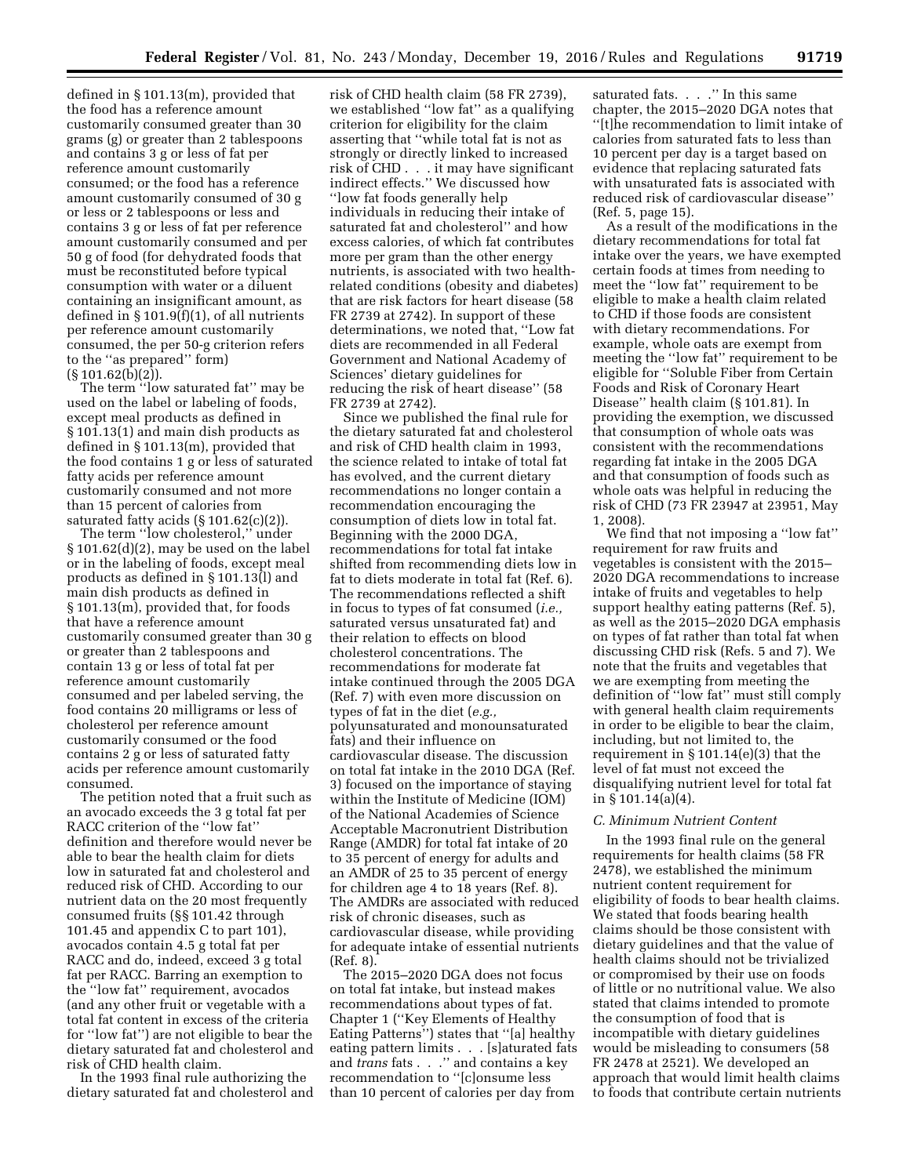defined in § 101.13(m), provided that the food has a reference amount customarily consumed greater than 30 grams (g) or greater than 2 tablespoons and contains 3 g or less of fat per reference amount customarily consumed; or the food has a reference amount customarily consumed of 30 g or less or 2 tablespoons or less and contains 3 g or less of fat per reference amount customarily consumed and per 50 g of food (for dehydrated foods that must be reconstituted before typical consumption with water or a diluent containing an insignificant amount, as defined in § 101.9(f)(1), of all nutrients per reference amount customarily consumed, the per 50-g criterion refers to the ''as prepared'' form)  $(S 101.62(b)(2))$ .

The term ''low saturated fat'' may be used on the label or labeling of foods, except meal products as defined in § 101.13(1) and main dish products as defined in § 101.13(m), provided that the food contains 1 g or less of saturated fatty acids per reference amount customarily consumed and not more than 15 percent of calories from saturated fatty acids  $(\S 101.62(c)(2))$ .

The term ''low cholesterol,'' under § 101.62(d)(2), may be used on the label or in the labeling of foods, except meal products as defined in § 101.13(l) and main dish products as defined in § 101.13(m), provided that, for foods that have a reference amount customarily consumed greater than 30 g or greater than 2 tablespoons and contain 13 g or less of total fat per reference amount customarily consumed and per labeled serving, the food contains 20 milligrams or less of cholesterol per reference amount customarily consumed or the food contains 2 g or less of saturated fatty acids per reference amount customarily consumed.

The petition noted that a fruit such as an avocado exceeds the 3 g total fat per RACC criterion of the ''low fat'' definition and therefore would never be able to bear the health claim for diets low in saturated fat and cholesterol and reduced risk of CHD. According to our nutrient data on the 20 most frequently consumed fruits (§§ 101.42 through 101.45 and appendix C to part 101), avocados contain 4.5 g total fat per RACC and do, indeed, exceed 3 g total fat per RACC. Barring an exemption to the ''low fat'' requirement, avocados (and any other fruit or vegetable with a total fat content in excess of the criteria for ''low fat'') are not eligible to bear the dietary saturated fat and cholesterol and risk of CHD health claim.

In the 1993 final rule authorizing the dietary saturated fat and cholesterol and risk of CHD health claim (58 FR 2739), we established ''low fat'' as a qualifying criterion for eligibility for the claim asserting that ''while total fat is not as strongly or directly linked to increased risk of CHD . . . it may have significant indirect effects.'' We discussed how ''low fat foods generally help individuals in reducing their intake of saturated fat and cholesterol'' and how excess calories, of which fat contributes more per gram than the other energy nutrients, is associated with two healthrelated conditions (obesity and diabetes) that are risk factors for heart disease (58 FR 2739 at 2742). In support of these determinations, we noted that, ''Low fat diets are recommended in all Federal Government and National Academy of Sciences' dietary guidelines for reducing the risk of heart disease'' (58 FR 2739 at 2742).

Since we published the final rule for the dietary saturated fat and cholesterol and risk of CHD health claim in 1993, the science related to intake of total fat has evolved, and the current dietary recommendations no longer contain a recommendation encouraging the consumption of diets low in total fat. Beginning with the 2000 DGA, recommendations for total fat intake shifted from recommending diets low in fat to diets moderate in total fat (Ref. 6). The recommendations reflected a shift in focus to types of fat consumed (*i.e.,*  saturated versus unsaturated fat) and their relation to effects on blood cholesterol concentrations. The recommendations for moderate fat intake continued through the 2005 DGA (Ref. 7) with even more discussion on types of fat in the diet (*e.g.,*  polyunsaturated and monounsaturated fats) and their influence on cardiovascular disease. The discussion on total fat intake in the 2010 DGA (Ref. 3) focused on the importance of staying within the Institute of Medicine (IOM) of the National Academies of Science Acceptable Macronutrient Distribution Range (AMDR) for total fat intake of 20 to 35 percent of energy for adults and an AMDR of 25 to 35 percent of energy for children age 4 to 18 years (Ref. 8). The AMDRs are associated with reduced risk of chronic diseases, such as cardiovascular disease, while providing for adequate intake of essential nutrients (Ref. 8).

The 2015–2020 DGA does not focus on total fat intake, but instead makes recommendations about types of fat. Chapter 1 (''Key Elements of Healthy Eating Patterns'') states that ''[a] healthy eating pattern limits . . . [s]aturated fats and *trans* fats . . .'' and contains a key recommendation to ''[c]onsume less than 10 percent of calories per day from

saturated fats. . . . " In this same chapter, the 2015–2020 DGA notes that ''[t]he recommendation to limit intake of calories from saturated fats to less than 10 percent per day is a target based on evidence that replacing saturated fats with unsaturated fats is associated with reduced risk of cardiovascular disease'' (Ref. 5, page 15).

As a result of the modifications in the dietary recommendations for total fat intake over the years, we have exempted certain foods at times from needing to meet the ''low fat'' requirement to be eligible to make a health claim related to CHD if those foods are consistent with dietary recommendations. For example, whole oats are exempt from meeting the ''low fat'' requirement to be eligible for ''Soluble Fiber from Certain Foods and Risk of Coronary Heart Disease'' health claim (§ 101.81). In providing the exemption, we discussed that consumption of whole oats was consistent with the recommendations regarding fat intake in the 2005 DGA and that consumption of foods such as whole oats was helpful in reducing the risk of CHD (73 FR 23947 at 23951, May 1, 2008).

We find that not imposing a ''low fat'' requirement for raw fruits and vegetables is consistent with the 2015– 2020 DGA recommendations to increase intake of fruits and vegetables to help support healthy eating patterns (Ref. 5), as well as the 2015–2020 DGA emphasis on types of fat rather than total fat when discussing CHD risk (Refs. 5 and 7). We note that the fruits and vegetables that we are exempting from meeting the definition of ''low fat'' must still comply with general health claim requirements in order to be eligible to bear the claim, including, but not limited to, the requirement in § 101.14(e)(3) that the level of fat must not exceed the disqualifying nutrient level for total fat in § 101.14(a)(4).

#### *C. Minimum Nutrient Content*

In the 1993 final rule on the general requirements for health claims (58 FR 2478), we established the minimum nutrient content requirement for eligibility of foods to bear health claims. We stated that foods bearing health claims should be those consistent with dietary guidelines and that the value of health claims should not be trivialized or compromised by their use on foods of little or no nutritional value. We also stated that claims intended to promote the consumption of food that is incompatible with dietary guidelines would be misleading to consumers (58 FR 2478 at 2521). We developed an approach that would limit health claims to foods that contribute certain nutrients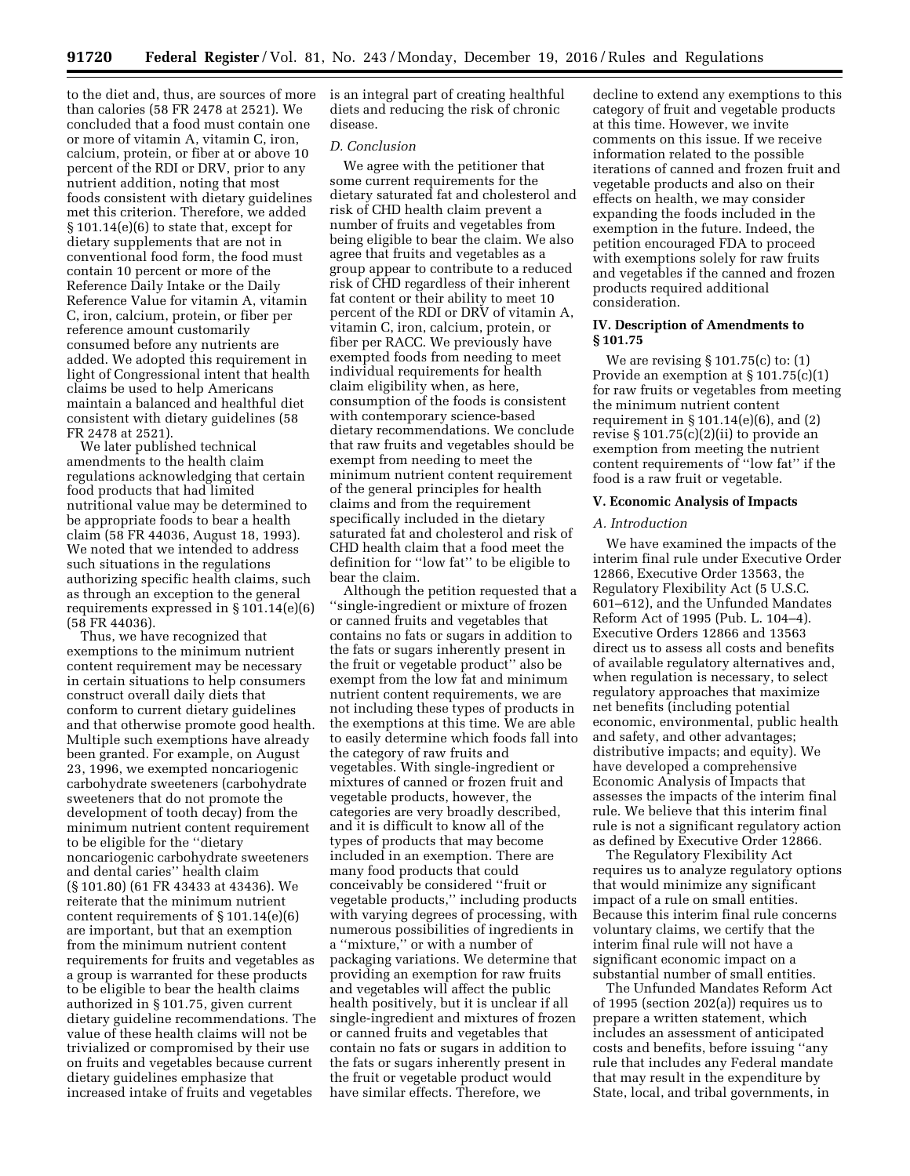to the diet and, thus, are sources of more than calories (58 FR 2478 at 2521). We concluded that a food must contain one or more of vitamin A, vitamin C, iron, calcium, protein, or fiber at or above 10 percent of the RDI or DRV, prior to any nutrient addition, noting that most foods consistent with dietary guidelines met this criterion. Therefore, we added § 101.14(e)(6) to state that, except for dietary supplements that are not in conventional food form, the food must contain 10 percent or more of the Reference Daily Intake or the Daily Reference Value for vitamin A, vitamin C, iron, calcium, protein, or fiber per reference amount customarily consumed before any nutrients are added. We adopted this requirement in light of Congressional intent that health claims be used to help Americans maintain a balanced and healthful diet consistent with dietary guidelines (58 FR 2478 at 2521).

We later published technical amendments to the health claim regulations acknowledging that certain food products that had limited nutritional value may be determined to be appropriate foods to bear a health claim (58 FR 44036, August 18, 1993). We noted that we intended to address such situations in the regulations authorizing specific health claims, such as through an exception to the general requirements expressed in § 101.14(e)(6) (58 FR 44036).

Thus, we have recognized that exemptions to the minimum nutrient content requirement may be necessary in certain situations to help consumers construct overall daily diets that conform to current dietary guidelines and that otherwise promote good health. Multiple such exemptions have already been granted. For example, on August 23, 1996, we exempted noncariogenic carbohydrate sweeteners (carbohydrate sweeteners that do not promote the development of tooth decay) from the minimum nutrient content requirement to be eligible for the ''dietary noncariogenic carbohydrate sweeteners and dental caries'' health claim (§ 101.80) (61 FR 43433 at 43436). We reiterate that the minimum nutrient content requirements of § 101.14(e)(6) are important, but that an exemption from the minimum nutrient content requirements for fruits and vegetables as a group is warranted for these products to be eligible to bear the health claims authorized in § 101.75, given current dietary guideline recommendations. The value of these health claims will not be trivialized or compromised by their use on fruits and vegetables because current dietary guidelines emphasize that increased intake of fruits and vegetables

is an integral part of creating healthful diets and reducing the risk of chronic disease.

## *D. Conclusion*

We agree with the petitioner that some current requirements for the dietary saturated fat and cholesterol and risk of CHD health claim prevent a number of fruits and vegetables from being eligible to bear the claim. We also agree that fruits and vegetables as a group appear to contribute to a reduced risk of CHD regardless of their inherent fat content or their ability to meet 10 percent of the RDI or DRV of vitamin A, vitamin C, iron, calcium, protein, or fiber per RACC. We previously have exempted foods from needing to meet individual requirements for health claim eligibility when, as here, consumption of the foods is consistent with contemporary science-based dietary recommendations. We conclude that raw fruits and vegetables should be exempt from needing to meet the minimum nutrient content requirement of the general principles for health claims and from the requirement specifically included in the dietary saturated fat and cholesterol and risk of CHD health claim that a food meet the definition for ''low fat'' to be eligible to bear the claim.

Although the petition requested that a ''single-ingredient or mixture of frozen or canned fruits and vegetables that contains no fats or sugars in addition to the fats or sugars inherently present in the fruit or vegetable product'' also be exempt from the low fat and minimum nutrient content requirements, we are not including these types of products in the exemptions at this time. We are able to easily determine which foods fall into the category of raw fruits and vegetables. With single-ingredient or mixtures of canned or frozen fruit and vegetable products, however, the categories are very broadly described, and it is difficult to know all of the types of products that may become included in an exemption. There are many food products that could conceivably be considered ''fruit or vegetable products,'' including products with varying degrees of processing, with numerous possibilities of ingredients in a ''mixture,'' or with a number of packaging variations. We determine that providing an exemption for raw fruits and vegetables will affect the public health positively, but it is unclear if all single-ingredient and mixtures of frozen or canned fruits and vegetables that contain no fats or sugars in addition to the fats or sugars inherently present in the fruit or vegetable product would have similar effects. Therefore, we

decline to extend any exemptions to this category of fruit and vegetable products at this time. However, we invite comments on this issue. If we receive information related to the possible iterations of canned and frozen fruit and vegetable products and also on their effects on health, we may consider expanding the foods included in the exemption in the future. Indeed, the petition encouraged FDA to proceed with exemptions solely for raw fruits and vegetables if the canned and frozen products required additional consideration.

## **IV. Description of Amendments to § 101.75**

We are revising § 101.75(c) to: (1) Provide an exemption at § 101.75(c)(1) for raw fruits or vegetables from meeting the minimum nutrient content requirement in  $\S 101.14(e)(6)$ , and  $(2)$ revise  $\S 101.75(c)(2)(ii)$  to provide an exemption from meeting the nutrient content requirements of ''low fat'' if the food is a raw fruit or vegetable.

#### **V. Economic Analysis of Impacts**

#### *A. Introduction*

We have examined the impacts of the interim final rule under Executive Order 12866, Executive Order 13563, the Regulatory Flexibility Act (5 U.S.C. 601–612), and the Unfunded Mandates Reform Act of 1995 (Pub. L. 104–4). Executive Orders 12866 and 13563 direct us to assess all costs and benefits of available regulatory alternatives and, when regulation is necessary, to select regulatory approaches that maximize net benefits (including potential economic, environmental, public health and safety, and other advantages; distributive impacts; and equity). We have developed a comprehensive Economic Analysis of Impacts that assesses the impacts of the interim final rule. We believe that this interim final rule is not a significant regulatory action as defined by Executive Order 12866.

The Regulatory Flexibility Act requires us to analyze regulatory options that would minimize any significant impact of a rule on small entities. Because this interim final rule concerns voluntary claims, we certify that the interim final rule will not have a significant economic impact on a substantial number of small entities.

The Unfunded Mandates Reform Act of 1995 (section 202(a)) requires us to prepare a written statement, which includes an assessment of anticipated costs and benefits, before issuing ''any rule that includes any Federal mandate that may result in the expenditure by State, local, and tribal governments, in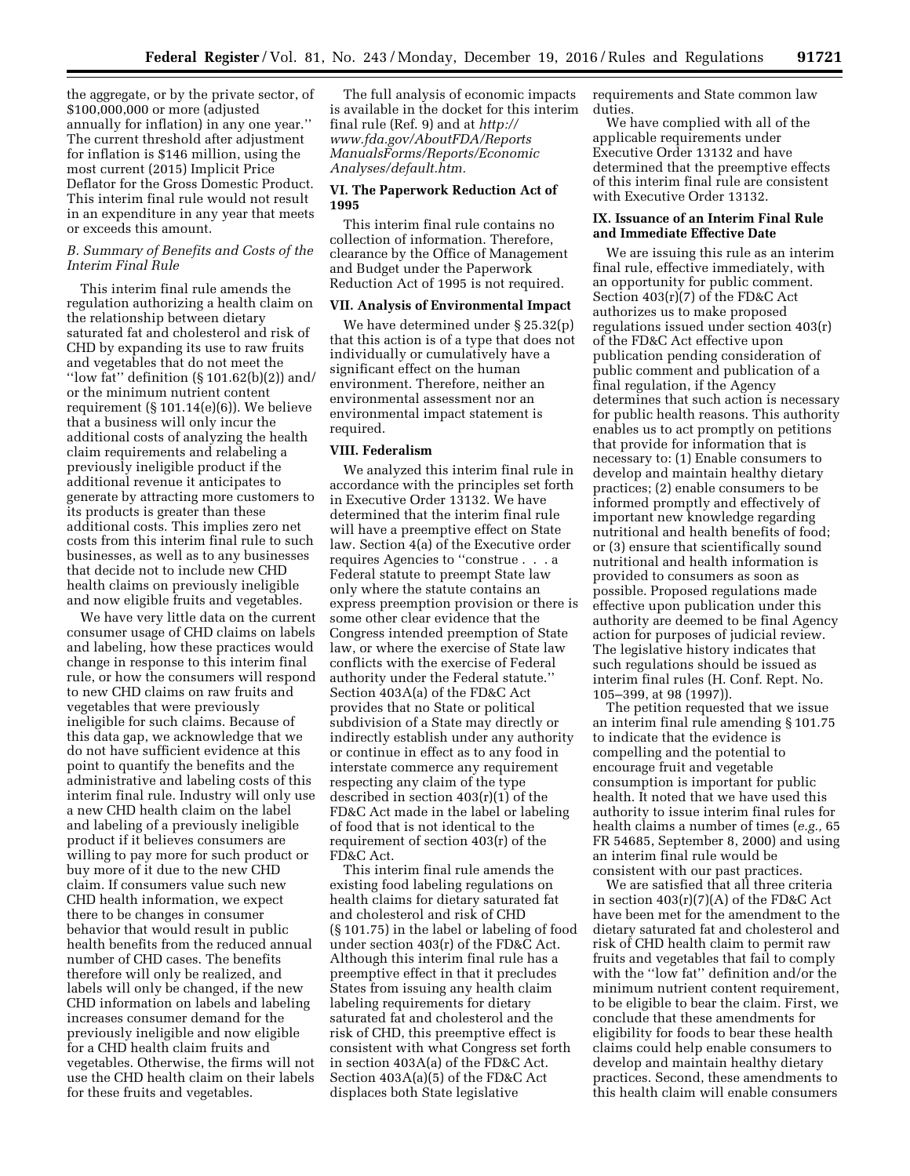the aggregate, or by the private sector, of \$100,000,000 or more (adjusted annually for inflation) in any one year.'' The current threshold after adjustment for inflation is \$146 million, using the most current (2015) Implicit Price Deflator for the Gross Domestic Product. This interim final rule would not result in an expenditure in any year that meets or exceeds this amount.

# *B. Summary of Benefits and Costs of the Interim Final Rule*

This interim final rule amends the regulation authorizing a health claim on the relationship between dietary saturated fat and cholesterol and risk of CHD by expanding its use to raw fruits and vegetables that do not meet the "low fat" definition  $(\S 101.62(b)(2))$  and/ or the minimum nutrient content requirement (§ 101.14(e)(6)). We believe that a business will only incur the additional costs of analyzing the health claim requirements and relabeling a previously ineligible product if the additional revenue it anticipates to generate by attracting more customers to its products is greater than these additional costs. This implies zero net costs from this interim final rule to such businesses, as well as to any businesses that decide not to include new CHD health claims on previously ineligible and now eligible fruits and vegetables.

We have very little data on the current consumer usage of CHD claims on labels and labeling, how these practices would change in response to this interim final rule, or how the consumers will respond to new CHD claims on raw fruits and vegetables that were previously ineligible for such claims. Because of this data gap, we acknowledge that we do not have sufficient evidence at this point to quantify the benefits and the administrative and labeling costs of this interim final rule. Industry will only use a new CHD health claim on the label and labeling of a previously ineligible product if it believes consumers are willing to pay more for such product or buy more of it due to the new CHD claim. If consumers value such new CHD health information, we expect there to be changes in consumer behavior that would result in public health benefits from the reduced annual number of CHD cases. The benefits therefore will only be realized, and labels will only be changed, if the new CHD information on labels and labeling increases consumer demand for the previously ineligible and now eligible for a CHD health claim fruits and vegetables. Otherwise, the firms will not use the CHD health claim on their labels for these fruits and vegetables.

The full analysis of economic impacts is available in the docket for this interim final rule (Ref. 9) and at *[http://](http://www.fda.gov/AboutFDA/ReportsManualsForms/Reports/EconomicAnalyses/default.htm) [www.fda.gov/AboutFDA/Reports](http://www.fda.gov/AboutFDA/ReportsManualsForms/Reports/EconomicAnalyses/default.htm) [ManualsForms/Reports/Economic](http://www.fda.gov/AboutFDA/ReportsManualsForms/Reports/EconomicAnalyses/default.htm) [Analyses/default.htm.](http://www.fda.gov/AboutFDA/ReportsManualsForms/Reports/EconomicAnalyses/default.htm)* 

#### **VI. The Paperwork Reduction Act of 1995**

This interim final rule contains no collection of information. Therefore, clearance by the Office of Management and Budget under the Paperwork Reduction Act of 1995 is not required.

## **VII. Analysis of Environmental Impact**

We have determined under § 25.32(p) that this action is of a type that does not individually or cumulatively have a significant effect on the human environment. Therefore, neither an environmental assessment nor an environmental impact statement is required.

#### **VIII. Federalism**

We analyzed this interim final rule in accordance with the principles set forth in Executive Order 13132. We have determined that the interim final rule will have a preemptive effect on State law. Section 4(a) of the Executive order requires Agencies to ''construe . . . a Federal statute to preempt State law only where the statute contains an express preemption provision or there is some other clear evidence that the Congress intended preemption of State law, or where the exercise of State law conflicts with the exercise of Federal authority under the Federal statute.'' Section 403A(a) of the FD&C Act provides that no State or political subdivision of a State may directly or indirectly establish under any authority or continue in effect as to any food in interstate commerce any requirement respecting any claim of the type described in section 403(r)(1) of the FD&C Act made in the label or labeling of food that is not identical to the requirement of section 403(r) of the FD&C Act.

This interim final rule amends the existing food labeling regulations on health claims for dietary saturated fat and cholesterol and risk of CHD (§ 101.75) in the label or labeling of food under section 403(r) of the FD&C Act. Although this interim final rule has a preemptive effect in that it precludes States from issuing any health claim labeling requirements for dietary saturated fat and cholesterol and the risk of CHD, this preemptive effect is consistent with what Congress set forth in section 403A(a) of the FD&C Act. Section 403A(a)(5) of the FD&C Act displaces both State legislative

requirements and State common law duties.

We have complied with all of the applicable requirements under Executive Order 13132 and have determined that the preemptive effects of this interim final rule are consistent with Executive Order 13132.

# **IX. Issuance of an Interim Final Rule and Immediate Effective Date**

We are issuing this rule as an interim final rule, effective immediately, with an opportunity for public comment. Section 403(r)(7) of the FD&C Act authorizes us to make proposed regulations issued under section 403(r) of the FD&C Act effective upon publication pending consideration of public comment and publication of a final regulation, if the Agency determines that such action is necessary for public health reasons. This authority enables us to act promptly on petitions that provide for information that is necessary to: (1) Enable consumers to develop and maintain healthy dietary practices; (2) enable consumers to be informed promptly and effectively of important new knowledge regarding nutritional and health benefits of food; or (3) ensure that scientifically sound nutritional and health information is provided to consumers as soon as possible. Proposed regulations made effective upon publication under this authority are deemed to be final Agency action for purposes of judicial review. The legislative history indicates that such regulations should be issued as interim final rules (H. Conf. Rept. No. 105–399, at 98 (1997)).

The petition requested that we issue an interim final rule amending § 101.75 to indicate that the evidence is compelling and the potential to encourage fruit and vegetable consumption is important for public health. It noted that we have used this authority to issue interim final rules for health claims a number of times (*e.g.,* 65 FR 54685, September 8, 2000) and using an interim final rule would be consistent with our past practices.

We are satisfied that all three criteria in section  $403(r)(7)(A)$  of the FD&C Act have been met for the amendment to the dietary saturated fat and cholesterol and risk of CHD health claim to permit raw fruits and vegetables that fail to comply with the ''low fat'' definition and/or the minimum nutrient content requirement, to be eligible to bear the claim. First, we conclude that these amendments for eligibility for foods to bear these health claims could help enable consumers to develop and maintain healthy dietary practices. Second, these amendments to this health claim will enable consumers